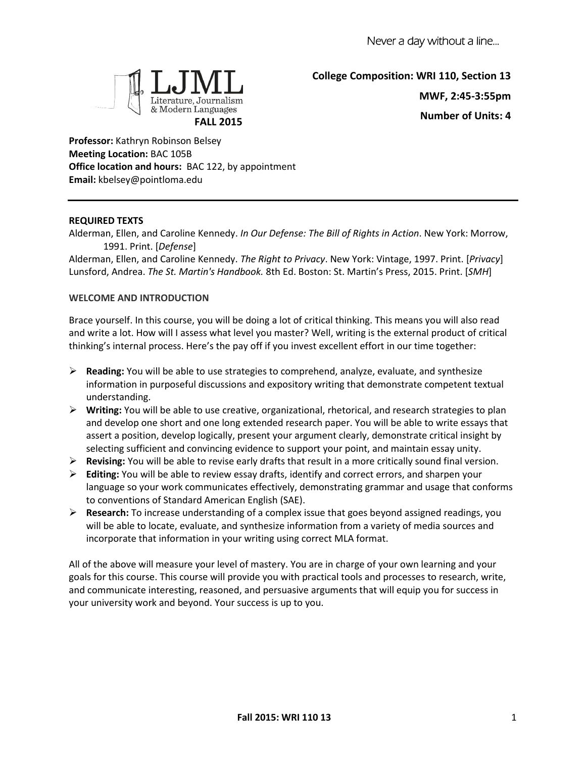

**College Composition: WRI 110, Section 13 MWF, 2:45-3:55pm Number of Units: 4**

**Professor:** Kathryn Robinson Belsey **Meeting Location:** BAC 105B **Office location and hours:** BAC 122, by appointment **Email:** kbelsey@pointloma.edu

# **REQUIRED TEXTS**

Alderman, Ellen, and Caroline Kennedy. *In Our Defense: The Bill of Rights in Action*. New York: Morrow, 1991. Print. [*Defense*]

Alderman, Ellen, and Caroline Kennedy. *The Right to Privacy*. New York: Vintage, 1997. Print. [*Privacy*] Lunsford, Andrea. *The St. Martin's Handbook.* 8th Ed. Boston: St. Martin's Press, 2015. Print. [*SMH*]

### **WELCOME AND INTRODUCTION**

Brace yourself. In this course, you will be doing a lot of critical thinking. This means you will also read and write a lot. How will I assess what level you master? Well, writing is the external product of critical thinking's internal process. Here's the pay off if you invest excellent effort in our time together:

- **Reading:** You will be able to use strategies to comprehend, analyze, evaluate, and synthesize information in purposeful discussions and expository writing that demonstrate competent textual understanding.
- **Writing:** You will be able to use creative, organizational, rhetorical, and research strategies to plan and develop one short and one long extended research paper. You will be able to write essays that assert a position, develop logically, present your argument clearly, demonstrate critical insight by selecting sufficient and convincing evidence to support your point, and maintain essay unity.
- **Revising:** You will be able to revise early drafts that result in a more critically sound final version.
- **Editing:** You will be able to review essay drafts, identify and correct errors, and sharpen your language so your work communicates effectively, demonstrating grammar and usage that conforms to conventions of Standard American English (SAE).
- **Research:** To increase understanding of a complex issue that goes beyond assigned readings, you will be able to locate, evaluate, and synthesize information from a variety of media sources and incorporate that information in your writing using correct MLA format.

All of the above will measure your level of mastery. You are in charge of your own learning and your goals for this course. This course will provide you with practical tools and processes to research, write, and communicate interesting, reasoned, and persuasive arguments that will equip you for success in your university work and beyond. Your success is up to you.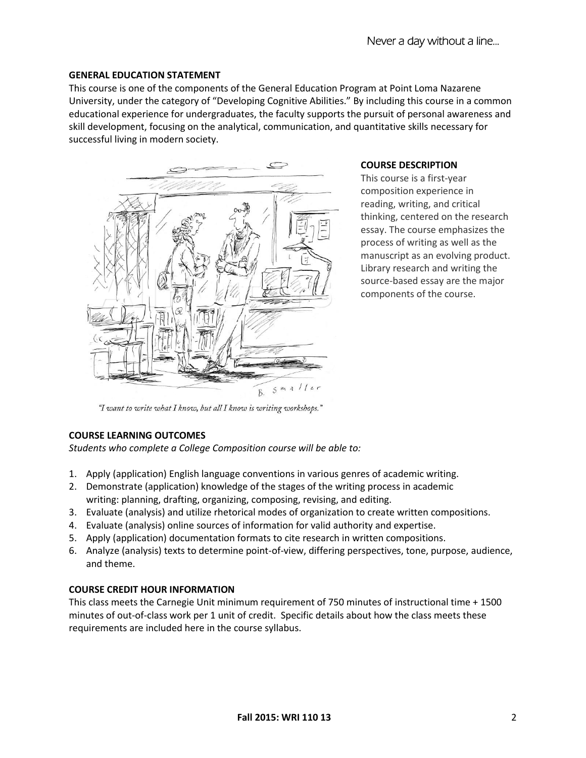#### **GENERAL EDUCATION STATEMENT**

This course is one of the components of the General Education Program at Point Loma Nazarene University, under the category of "Developing Cognitive Abilities." By including this course in a common educational experience for undergraduates, the faculty supports the pursuit of personal awareness and skill development, focusing on the analytical, communication, and quantitative skills necessary for successful living in modern society.



#### **COURSE DESCRIPTION**

This course is a first-year composition experience in reading, writing, and critical thinking, centered on the research essay. The course emphasizes the process of writing as well as the manuscript as an evolving product. Library research and writing the source-based essay are the major components of the course.

"I want to write what I know, but all I know is writing workshops."

### **COURSE LEARNING OUTCOMES**

*Students who complete a College Composition course will be able to:*

- 1. Apply (application) English language conventions in various genres of academic writing.
- 2. Demonstrate (application) knowledge of the stages of the writing process in academic writing: planning, drafting, organizing, composing, revising, and editing.
- 3. Evaluate (analysis) and utilize rhetorical modes of organization to create written compositions.
- 4. Evaluate (analysis) online sources of information for valid authority and expertise.
- 5. Apply (application) documentation formats to cite research in written compositions.
- 6. Analyze (analysis) texts to determine point-of-view, differing perspectives, tone, purpose, audience, and theme.

## **COURSE CREDIT HOUR INFORMATION**

This class meets the Carnegie Unit minimum requirement of 750 minutes of instructional time + 1500 minutes of out-of-class work per 1 unit of credit. Specific details about how the class meets these requirements are included here in the course syllabus.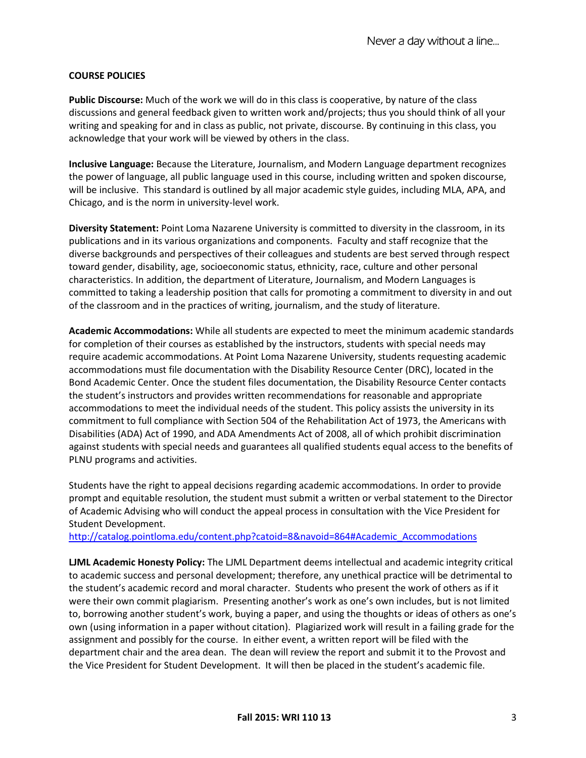## **COURSE POLICIES**

**Public Discourse:** Much of the work we will do in this class is cooperative, by nature of the class discussions and general feedback given to written work and/projects; thus you should think of all your writing and speaking for and in class as public, not private, discourse. By continuing in this class, you acknowledge that your work will be viewed by others in the class.

**Inclusive Language:** Because the Literature, Journalism, and Modern Language department recognizes the power of language, all public language used in this course, including written and spoken discourse, will be inclusive. This standard is outlined by all major academic style guides, including MLA, APA, and Chicago, and is the norm in university-level work.

**Diversity Statement:** Point Loma Nazarene University is committed to diversity in the classroom, in its publications and in its various organizations and components. Faculty and staff recognize that the diverse backgrounds and perspectives of their colleagues and students are best served through respect toward gender, disability, age, socioeconomic status, ethnicity, race, culture and other personal characteristics. In addition, the department of Literature, Journalism, and Modern Languages is committed to taking a leadership position that calls for promoting a commitment to diversity in and out of the classroom and in the practices of writing, journalism, and the study of literature.

**Academic Accommodations:** While all students are expected to meet the minimum academic standards for completion of their courses as established by the instructors, students with special needs may require academic accommodations. At Point Loma Nazarene University, students requesting academic accommodations must file documentation with the Disability Resource Center (DRC), located in the Bond Academic Center. Once the student files documentation, the Disability Resource Center contacts the student's instructors and provides written recommendations for reasonable and appropriate accommodations to meet the individual needs of the student. This policy assists the university in its commitment to full compliance with Section 504 of the Rehabilitation Act of 1973, the Americans with Disabilities (ADA) Act of 1990, and ADA Amendments Act of 2008, all of which prohibit discrimination against students with special needs and guarantees all qualified students equal access to the benefits of PLNU programs and activities.

Students have the right to appeal decisions regarding academic accommodations. In order to provide prompt and equitable resolution, the student must submit a written or verbal statement to the Director of Academic Advising who will conduct the appeal process in consultation with the Vice President for Student Development.

[http://catalog.pointloma.edu/content.php?catoid=8&navoid=864#Academic\\_Accommodations](http://catalog.pointloma.edu/content.php?catoid=8&navoid=864#Academic_Accommodations)

**LJML Academic Honesty Policy:** The LJML Department deems intellectual and academic integrity critical to academic success and personal development; therefore, any unethical practice will be detrimental to the student's academic record and moral character. Students who present the work of others as if it were their own commit plagiarism. Presenting another's work as one's own includes, but is not limited to, borrowing another student's work, buying a paper, and using the thoughts or ideas of others as one's own (using information in a paper without citation). Plagiarized work will result in a failing grade for the assignment and possibly for the course. In either event, a written report will be filed with the department chair and the area dean. The dean will review the report and submit it to the Provost and the Vice President for Student Development. It will then be placed in the student's academic file.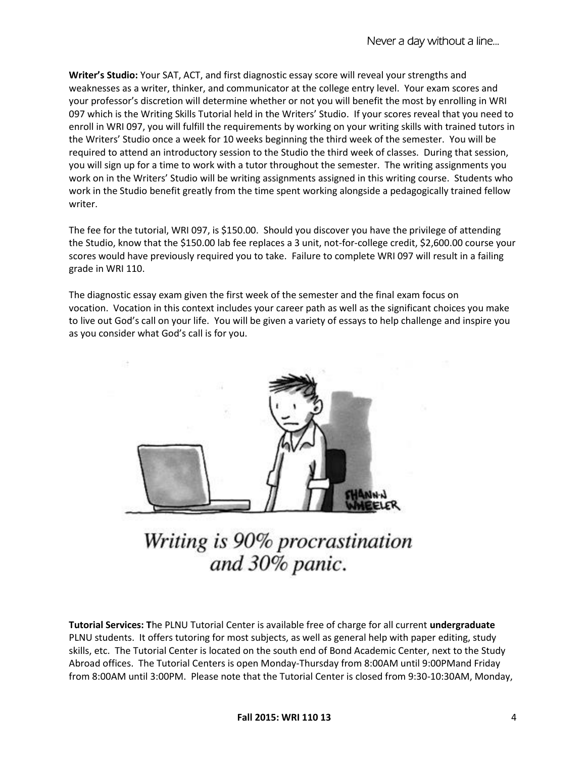**Writer's Studio:** Your SAT, ACT, and first diagnostic essay score will reveal your strengths and weaknesses as a writer, thinker, and communicator at the college entry level. Your exam scores and your professor's discretion will determine whether or not you will benefit the most by enrolling in WRI 097 which is the Writing Skills Tutorial held in the Writers' Studio. If your scores reveal that you need to enroll in WRI 097, you will fulfill the requirements by working on your writing skills with trained tutors in the Writers' Studio once a week for 10 weeks beginning the third week of the semester. You will be required to attend an introductory session to the Studio the third week of classes. During that session, you will sign up for a time to work with a tutor throughout the semester. The writing assignments you work on in the Writers' Studio will be writing assignments assigned in this writing course. Students who work in the Studio benefit greatly from the time spent working alongside a pedagogically trained fellow writer.

The fee for the tutorial, WRI 097, is \$150.00. Should you discover you have the privilege of attending the Studio, know that the \$150.00 lab fee replaces a 3 unit, not-for-college credit, \$2,600.00 course your scores would have previously required you to take. Failure to complete WRI 097 will result in a failing grade in WRI 110.

The diagnostic essay exam given the first week of the semester and the final exam focus on vocation. Vocation in this context includes your career path as well as the significant choices you make to live out God's call on your life. You will be given a variety of essays to help challenge and inspire you as you consider what God's call is for you.



Writing is 90% procrastination and 30% panic.

**Tutorial Services: T**he PLNU Tutorial Center is available free of charge for all current **undergraduate**  PLNU students. It offers tutoring for most subjects, as well as general help with paper editing, study skills, etc. The Tutorial Center is located on the south end of Bond Academic Center, next to the Study Abroad offices. The Tutorial Centers is open Monday-Thursday from 8:00AM until 9:00PMand Friday from 8:00AM until 3:00PM. Please note that the Tutorial Center is closed from 9:30-10:30AM, Monday,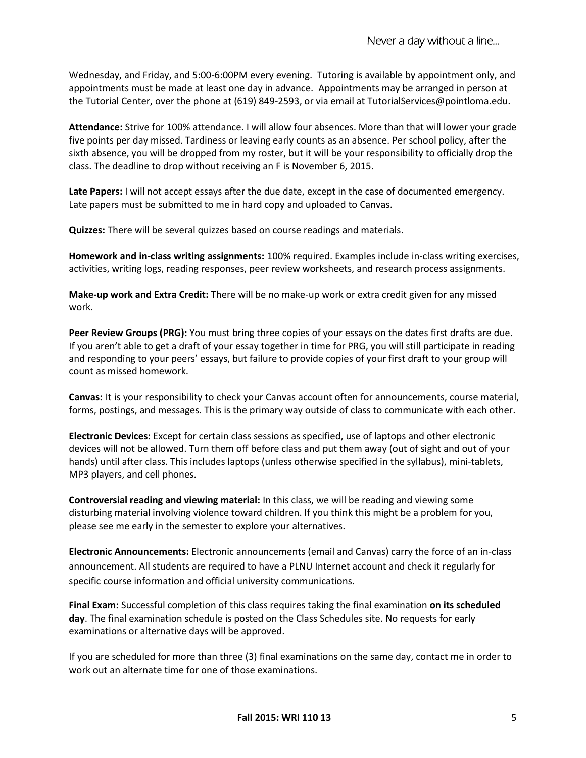Wednesday, and Friday, and 5:00-6:00PM every evening. Tutoring is available by appointment only, and appointments must be made at least one day in advance. Appointments may be arranged in person at the Tutorial Center, over the phone at (619) 849-2593, or via email at [TutorialServices@pointloma.edu.](mailto:TutorialServices@pointloma.edu)

**Attendance:** Strive for 100% attendance. I will allow four absences. More than that will lower your grade five points per day missed. Tardiness or leaving early counts as an absence. Per school policy, after the sixth absence, you will be dropped from my roster, but it will be your responsibility to officially drop the class. The deadline to drop without receiving an F is November 6, 2015.

**Late Papers:** I will not accept essays after the due date, except in the case of documented emergency. Late papers must be submitted to me in hard copy and uploaded to Canvas.

**Quizzes:** There will be several quizzes based on course readings and materials.

**Homework and in-class writing assignments:** 100% required. Examples include in-class writing exercises, activities, writing logs, reading responses, peer review worksheets, and research process assignments.

**Make-up work and Extra Credit:** There will be no make-up work or extra credit given for any missed work.

**Peer Review Groups (PRG):** You must bring three copies of your essays on the dates first drafts are due. If you aren't able to get a draft of your essay together in time for PRG, you will still participate in reading and responding to your peers' essays, but failure to provide copies of your first draft to your group will count as missed homework.

**Canvas:** It is your responsibility to check your Canvas account often for announcements, course material, forms, postings, and messages. This is the primary way outside of class to communicate with each other.

**Electronic Devices:** Except for certain class sessions as specified, use of laptops and other electronic devices will not be allowed. Turn them off before class and put them away (out of sight and out of your hands) until after class. This includes laptops (unless otherwise specified in the syllabus), mini-tablets, MP3 players, and cell phones.

**Controversial reading and viewing material:** In this class, we will be reading and viewing some disturbing material involving violence toward children. If you think this might be a problem for you, please see me early in the semester to explore your alternatives.

**Electronic Announcements:** Electronic announcements (email and Canvas) carry the force of an in-class announcement. All students are required to have a PLNU Internet account and check it regularly for specific course information and official university communications.

**Final Exam:** Successful completion of this class requires taking the final examination **on its scheduled day**. The final examination schedule is posted on the Class Schedules site. No requests for early examinations or alternative days will be approved.

If you are scheduled for more than three (3) final examinations on the same day, contact me in order to work out an alternate time for one of those examinations.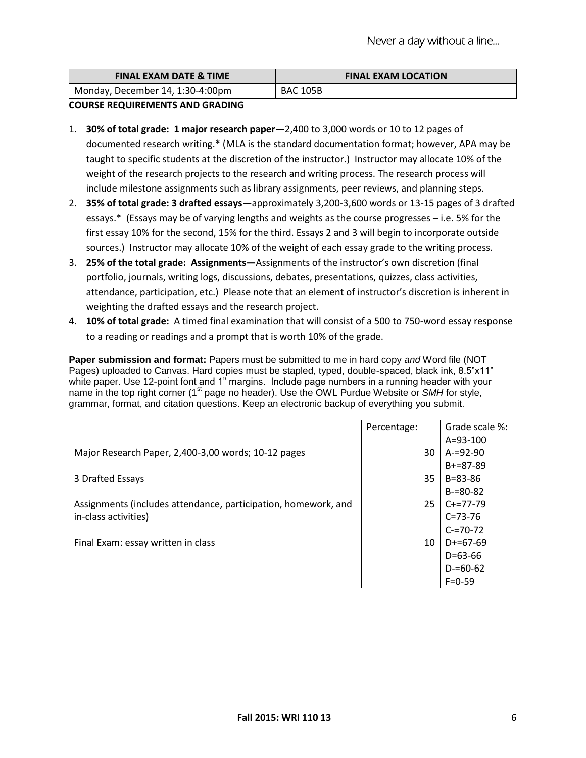| <b>FINAL EXAM DATE &amp; TIME</b> | <b>FINAL EXAM LOCATION</b> |
|-----------------------------------|----------------------------|
| Monday, December 14, 1:30-4:00pm  | <b>BAC 105B</b>            |

### **COURSE REQUIREMENTS AND GRADING**

- 1. **30% of total grade: 1 major research paper—**2,400 to 3,000 words or 10 to 12 pages of documented research writing.\* (MLA is the standard documentation format; however, APA may be taught to specific students at the discretion of the instructor.) Instructor may allocate 10% of the weight of the research projects to the research and writing process. The research process will include milestone assignments such as library assignments, peer reviews, and planning steps.
- 2. **35% of total grade: 3 drafted essays—**approximately 3,200-3,600 words or 13-15 pages of 3 drafted essays.\* (Essays may be of varying lengths and weights as the course progresses – i.e. 5% for the first essay 10% for the second, 15% for the third. Essays 2 and 3 will begin to incorporate outside sources.) Instructor may allocate 10% of the weight of each essay grade to the writing process.
- 3. **25% of the total grade: Assignments—**Assignments of the instructor's own discretion (final portfolio, journals, writing logs, discussions, debates, presentations, quizzes, class activities, attendance, participation, etc.) Please note that an element of instructor's discretion is inherent in weighting the drafted essays and the research project.
- 4. **10% of total grade:** A timed final examination that will consist of a 500 to 750-word essay response to a reading or readings and a prompt that is worth 10% of the grade.

**Paper submission and format:** Papers must be submitted to me in hard copy *and* Word file (NOT Pages) uploaded to Canvas. Hard copies must be stapled, typed, double-spaced, black ink, 8.5"x11" white paper. Use 12-point font and 1" margins. Include page numbers in a running header with your name in the top right corner (1<sup>st</sup> page no header). Use the OWL Purdue Website or *SMH* for style, grammar, format, and citation questions. Keep an electronic backup of everything you submit.

|                                                                | Percentage: | Grade scale %: |
|----------------------------------------------------------------|-------------|----------------|
|                                                                |             | $A = 93 - 100$ |
| Major Research Paper, 2,400-3,00 words; 10-12 pages            | 30          | $A = 92 - 90$  |
|                                                                |             | $B+=87-89$     |
| 3 Drafted Essays                                               | 35          | B=83-86        |
|                                                                |             | $B = 80 - 82$  |
| Assignments (includes attendance, participation, homework, and | 25          | $C+=77-79$     |
| in-class activities)                                           |             | $C = 73 - 76$  |
|                                                                |             | $C = 70 - 72$  |
| Final Exam: essay written in class                             | 10          | $D+ = 67-69$   |
|                                                                |             | $D = 63 - 66$  |
|                                                                |             | $D = 60 - 62$  |
|                                                                |             | $F = 0 - 59$   |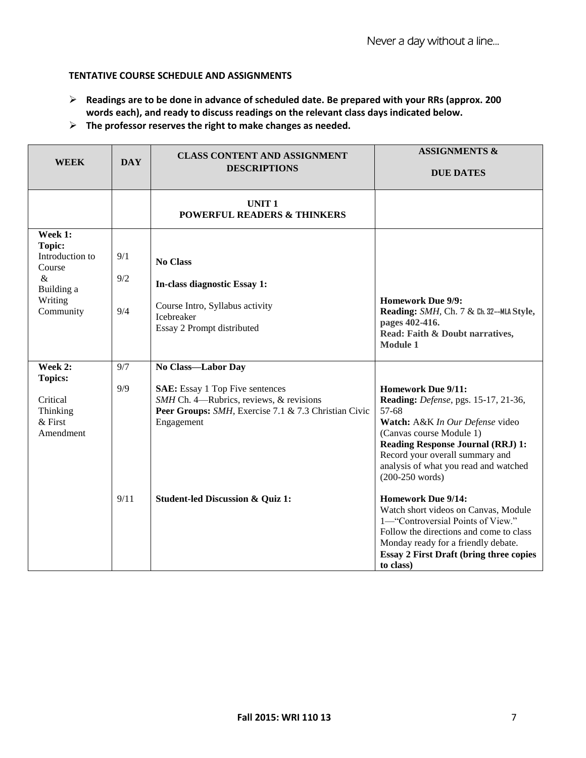# **TENTATIVE COURSE SCHEDULE AND ASSIGNMENTS**

- **Readings are to be done in advance of scheduled date. Be prepared with your RRs (approx. 200 words each), and ready to discuss readings on the relevant class days indicated below.**
- **The professor reserves the right to make changes as needed.**

| <b>WEEK</b>                                                                                         | <b>DAY</b>        | <b>CLASS CONTENT AND ASSIGNMENT</b><br><b>DESCRIPTIONS</b>                                                                                                                    | <b>ASSIGNMENTS &amp;</b><br><b>DUE DATES</b>                                                                                                                                                                                                                                           |
|-----------------------------------------------------------------------------------------------------|-------------------|-------------------------------------------------------------------------------------------------------------------------------------------------------------------------------|----------------------------------------------------------------------------------------------------------------------------------------------------------------------------------------------------------------------------------------------------------------------------------------|
|                                                                                                     |                   | <b>UNIT1</b><br><b>POWERFUL READERS &amp; THINKERS</b>                                                                                                                        |                                                                                                                                                                                                                                                                                        |
| Week 1:<br><b>Topic:</b><br>Introduction to<br>Course<br>$\&$<br>Building a<br>Writing<br>Community | 9/1<br>9/2<br>9/4 | <b>No Class</b><br>In-class diagnostic Essay 1:<br>Course Intro, Syllabus activity<br>Icebreaker<br>Essay 2 Prompt distributed                                                | <b>Homework Due 9/9:</b><br>Reading: SMH, Ch. 7 & Ch. 32--MLA Style,<br>pages 402-416.<br>Read: Faith & Doubt narratives,<br><b>Module 1</b>                                                                                                                                           |
| Week 2:<br><b>Topics:</b><br>Critical<br>Thinking<br>$&$ First<br>Amendment                         | 9/7<br>9/9        | No Class-Labor Day<br><b>SAE:</b> Essay 1 Top Five sentences<br>SMH Ch. 4—Rubrics, reviews, & revisions<br>Peer Groups: SMH, Exercise 7.1 & 7.3 Christian Civic<br>Engagement | <b>Homework Due 9/11:</b><br>Reading: Defense, pgs. 15-17, 21-36,<br>57-68<br>Watch: A&K In Our Defense video<br>(Canvas course Module 1)<br><b>Reading Response Journal (RRJ) 1:</b><br>Record your overall summary and<br>analysis of what you read and watched<br>$(200-250$ words) |
|                                                                                                     | 9/11              | <b>Student-led Discussion &amp; Quiz 1:</b>                                                                                                                                   | <b>Homework Due 9/14:</b><br>Watch short videos on Canvas, Module<br>1-"Controversial Points of View."<br>Follow the directions and come to class<br>Monday ready for a friendly debate.<br><b>Essay 2 First Draft (bring three copies</b><br>to class)                                |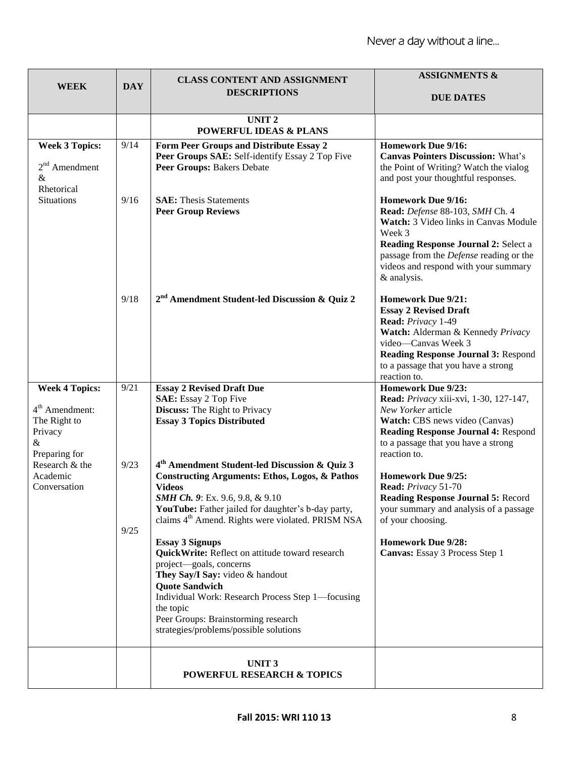|                                                                                            | <b>DAY</b>   | <b>CLASS CONTENT AND ASSIGNMENT</b>                                                                                                                                                                                                                                                                                                                                                                                                                                                                                                                                                                                      | <b>ASSIGNMENTS &amp;</b>                                                                                                                                                                                                                                  |
|--------------------------------------------------------------------------------------------|--------------|--------------------------------------------------------------------------------------------------------------------------------------------------------------------------------------------------------------------------------------------------------------------------------------------------------------------------------------------------------------------------------------------------------------------------------------------------------------------------------------------------------------------------------------------------------------------------------------------------------------------------|-----------------------------------------------------------------------------------------------------------------------------------------------------------------------------------------------------------------------------------------------------------|
| <b>WEEK</b>                                                                                |              | <b>DESCRIPTIONS</b>                                                                                                                                                                                                                                                                                                                                                                                                                                                                                                                                                                                                      | <b>DUE DATES</b>                                                                                                                                                                                                                                          |
|                                                                                            |              | <b>UNIT2</b><br><b>POWERFUL IDEAS &amp; PLANS</b>                                                                                                                                                                                                                                                                                                                                                                                                                                                                                                                                                                        |                                                                                                                                                                                                                                                           |
| <b>Week 3 Topics:</b><br>$2nd$ Amendment<br>&                                              | 9/14         | Form Peer Groups and Distribute Essay 2<br>Peer Groups SAE: Self-identify Essay 2 Top Five<br>Peer Groups: Bakers Debate                                                                                                                                                                                                                                                                                                                                                                                                                                                                                                 | <b>Homework Due 9/16:</b><br><b>Canvas Pointers Discussion: What's</b><br>the Point of Writing? Watch the vialog<br>and post your thoughtful responses.                                                                                                   |
| Rhetorical<br><b>Situations</b>                                                            | 9/16         | <b>SAE:</b> Thesis Statements<br><b>Peer Group Reviews</b>                                                                                                                                                                                                                                                                                                                                                                                                                                                                                                                                                               | <b>Homework Due 9/16:</b><br>Read: Defense 88-103, SMH Ch. 4<br>Watch: 3 Video links in Canvas Module<br>Week 3<br>Reading Response Journal 2: Select a<br>passage from the Defense reading or the<br>videos and respond with your summary<br>& analysis. |
|                                                                                            | 9/18         | 2 <sup>nd</sup> Amendment Student-led Discussion & Quiz 2                                                                                                                                                                                                                                                                                                                                                                                                                                                                                                                                                                | <b>Homework Due 9/21:</b><br><b>Essay 2 Revised Draft</b><br>Read: Privacy 1-49<br>Watch: Alderman & Kennedy Privacy<br>video-Canvas Week 3<br><b>Reading Response Journal 3: Respond</b><br>to a passage that you have a strong<br>reaction to.          |
| <b>Week 4 Topics:</b><br>$4th$ Amendment:<br>The Right to<br>Privacy<br>&<br>Preparing for | 9/21         | <b>Essay 2 Revised Draft Due</b><br><b>SAE:</b> Essay 2 Top Five<br><b>Discuss:</b> The Right to Privacy<br><b>Essay 3 Topics Distributed</b>                                                                                                                                                                                                                                                                                                                                                                                                                                                                            | <b>Homework Due 9/23:</b><br>Read: Privacy xiii-xvi, 1-30, 127-147,<br>New Yorker article<br>Watch: CBS news video (Canvas)<br>Reading Response Journal 4: Respond<br>to a passage that you have a strong<br>reaction to.                                 |
| Research & the<br>Academic<br>Conversation                                                 | 9/23<br>9/25 | 4 <sup>th</sup> Amendment Student-led Discussion & Quiz 3<br><b>Constructing Arguments: Ethos, Logos, &amp; Pathos</b><br><b>Videos</b><br>SMH Ch. 9: Ex. 9.6, 9.8, & 9.10<br>YouTube: Father jailed for daughter's b-day party,<br>claims 4 <sup>th</sup> Amend. Rights were violated. PRISM NSA<br><b>Essay 3 Signups</b><br>QuickWrite: Reflect on attitude toward research<br>project-goals, concerns<br>They Say/I Say: video & handout<br><b>Quote Sandwich</b><br>Individual Work: Research Process Step 1—focusing<br>the topic<br>Peer Groups: Brainstorming research<br>strategies/problems/possible solutions | <b>Homework Due 9/25:</b><br>Read: Privacy 51-70<br><b>Reading Response Journal 5: Record</b><br>your summary and analysis of a passage<br>of your choosing.<br><b>Homework Due 9/28:</b><br>Canvas: Essay 3 Process Step 1                               |
|                                                                                            |              | UNIT <sub>3</sub><br>POWERFUL RESEARCH & TOPICS                                                                                                                                                                                                                                                                                                                                                                                                                                                                                                                                                                          |                                                                                                                                                                                                                                                           |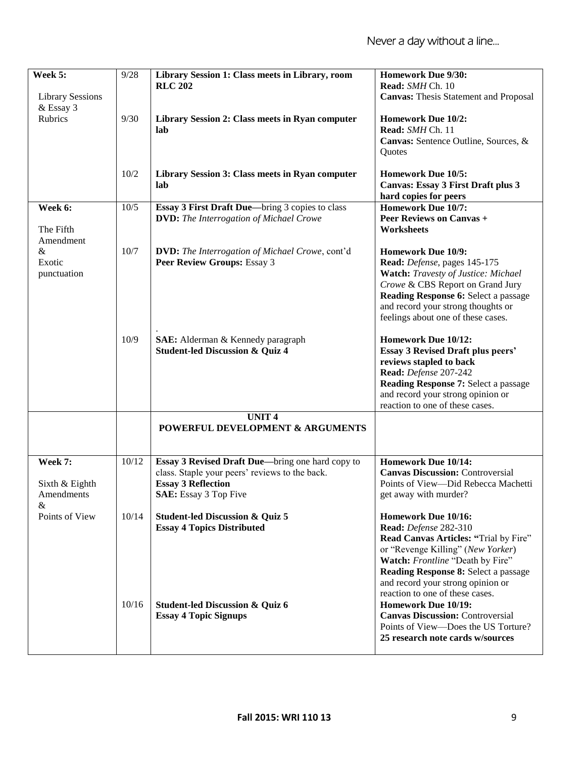| Week 5:                 | 9/28  | Library Session 1: Class meets in Library, room        | <b>Homework Due 9/30:</b>                    |
|-------------------------|-------|--------------------------------------------------------|----------------------------------------------|
|                         |       | <b>RLC 202</b>                                         | Read: SMH Ch. 10                             |
| <b>Library Sessions</b> |       |                                                        | <b>Canvas:</b> Thesis Statement and Proposal |
| & Essay 3               |       |                                                        |                                              |
| Rubrics                 | 9/30  | Library Session 2: Class meets in Ryan computer        | <b>Homework Due 10/2:</b>                    |
|                         |       | lab                                                    | Read: SMH Ch. 11                             |
|                         |       |                                                        | Canvas: Sentence Outline, Sources, &         |
|                         |       |                                                        | Quotes                                       |
|                         | 10/2  | Library Session 3: Class meets in Ryan computer        | <b>Homework Due 10/5:</b>                    |
|                         |       | lab                                                    | Canvas: Essay 3 First Draft plus 3           |
|                         |       |                                                        | hard copies for peers                        |
| Week 6:                 | 10/5  | <b>Essay 3 First Draft Due—bring 3 copies to class</b> | <b>Homework Due 10/7:</b>                    |
|                         |       | <b>DVD:</b> The Interrogation of Michael Crowe         | <b>Peer Reviews on Canvas +</b>              |
| The Fifth               |       |                                                        | <b>Worksheets</b>                            |
| Amendment               |       |                                                        |                                              |
| &                       | 10/7  | <b>DVD:</b> The Interrogation of Michael Crowe, cont'd | <b>Homework Due 10/9:</b>                    |
| Exotic                  |       | Peer Review Groups: Essay 3                            | Read: Defense, pages 145-175                 |
| punctuation             |       |                                                        | Watch: Travesty of Justice: Michael          |
|                         |       |                                                        | Crowe & CBS Report on Grand Jury             |
|                         |       |                                                        | Reading Response 6: Select a passage         |
|                         |       |                                                        | and record your strong thoughts or           |
|                         |       |                                                        | feelings about one of these cases.           |
|                         |       |                                                        |                                              |
|                         | 10/9  | SAE: Alderman & Kennedy paragraph                      | Homework Due 10/12:                          |
|                         |       | <b>Student-led Discussion &amp; Quiz 4</b>             | <b>Essay 3 Revised Draft plus peers'</b>     |
|                         |       |                                                        | reviews stapled to back                      |
|                         |       |                                                        | Read: Defense 207-242                        |
|                         |       |                                                        | Reading Response 7: Select a passage         |
|                         |       |                                                        | and record your strong opinion or            |
|                         |       |                                                        | reaction to one of these cases.              |
|                         |       | <b>UNIT4</b>                                           |                                              |
|                         |       | POWERFUL DEVELOPMENT & ARGUMENTS                       |                                              |
|                         |       |                                                        |                                              |
| Week 7:                 | 10/12 | Essay 3 Revised Draft Due-bring one hard copy to       | <b>Homework Due 10/14:</b>                   |
|                         |       | class. Staple your peers' reviews to the back.         | <b>Canvas Discussion: Controversial</b>      |
| Sixth & Eighth          |       | <b>Essay 3 Reflection</b>                              | Points of View-Did Rebecca Machetti          |
| Amendments              |       | SAE: Essay 3 Top Five                                  | get away with murder?                        |
| &                       |       |                                                        |                                              |
| Points of View          | 10/14 | <b>Student-led Discussion &amp; Quiz 5</b>             | Homework Due 10/16:                          |
|                         |       | <b>Essay 4 Topics Distributed</b>                      | <b>Read:</b> Defense 282-310                 |
|                         |       |                                                        | Read Canvas Articles: "Trial by Fire"        |
|                         |       |                                                        | or "Revenge Killing" (New Yorker)            |
|                         |       |                                                        | Watch: Frontline "Death by Fire"             |
|                         |       |                                                        | Reading Response 8: Select a passage         |
|                         |       |                                                        | and record your strong opinion or            |
|                         |       |                                                        | reaction to one of these cases.              |
|                         | 10/16 | <b>Student-led Discussion &amp; Quiz 6</b>             | <b>Homework Due 10/19:</b>                   |
|                         |       | <b>Essay 4 Topic Signups</b>                           | <b>Canvas Discussion: Controversial</b>      |
|                         |       |                                                        | Points of View-Does the US Torture?          |
|                         |       |                                                        | 25 research note cards w/sources             |
|                         |       |                                                        |                                              |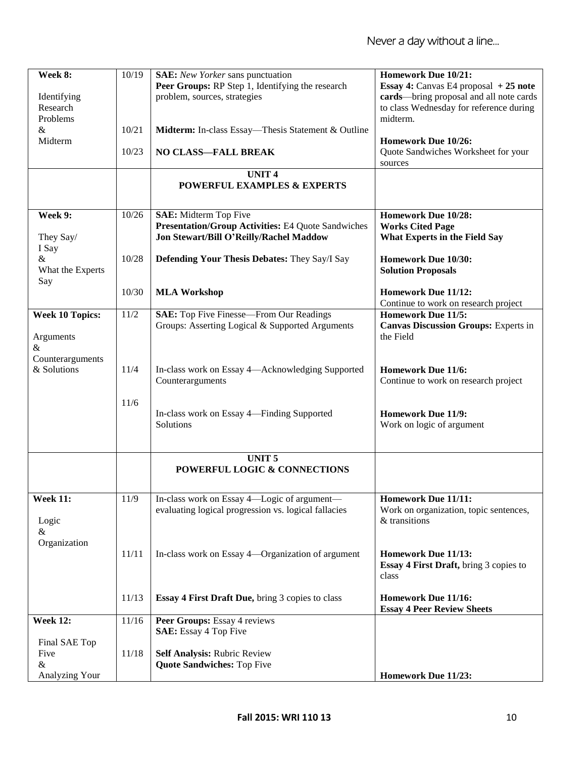| Week 8:                | 10/19 | <b>SAE:</b> New Yorker sans punctuation                                                           | <b>Homework Due 10/21:</b>                                               |
|------------------------|-------|---------------------------------------------------------------------------------------------------|--------------------------------------------------------------------------|
|                        |       | Peer Groups: RP Step 1, Identifying the research                                                  | Essay 4: Canvas E4 proposal $+25$ note                                   |
| Identifying            |       | problem, sources, strategies                                                                      | cards—bring proposal and all note cards                                  |
| Research               |       |                                                                                                   | to class Wednesday for reference during                                  |
| Problems               |       |                                                                                                   | midterm.                                                                 |
| &<br>Midterm           | 10/21 | Midterm: In-class Essay—Thesis Statement & Outline                                                | Homework Due 10/26:                                                      |
|                        | 10/23 | <b>NO CLASS-FALL BREAK</b>                                                                        | Quote Sandwiches Worksheet for your                                      |
|                        |       |                                                                                                   | sources                                                                  |
|                        |       | <b>UNIT4</b>                                                                                      |                                                                          |
|                        |       | <b>POWERFUL EXAMPLES &amp; EXPERTS</b>                                                            |                                                                          |
|                        |       |                                                                                                   |                                                                          |
| Week 9:                | 10/26 | <b>SAE:</b> Midterm Top Five                                                                      | <b>Homework Due 10/28:</b>                                               |
|                        |       | <b>Presentation/Group Activities: E4 Quote Sandwiches</b>                                         | <b>Works Cited Page</b>                                                  |
| They Say/              |       | Jon Stewart/Bill O'Reilly/Rachel Maddow                                                           | <b>What Experts in the Field Say</b>                                     |
| I Say                  |       |                                                                                                   |                                                                          |
| &                      | 10/28 | <b>Defending Your Thesis Debates: They Say/I Say</b>                                              | Homework Due 10/30:                                                      |
| What the Experts       |       |                                                                                                   | <b>Solution Proposals</b>                                                |
| Say                    |       |                                                                                                   |                                                                          |
|                        | 10/30 | <b>MLA Workshop</b>                                                                               | <b>Homework Due 11/12:</b>                                               |
|                        |       |                                                                                                   | Continue to work on research project                                     |
| <b>Week 10 Topics:</b> | 11/2  | <b>SAE:</b> Top Five Finesse—From Our Readings<br>Groups: Asserting Logical & Supported Arguments | <b>Homework Due 11/5:</b><br><b>Canvas Discussion Groups: Experts in</b> |
| Arguments              |       |                                                                                                   | the Field                                                                |
| &                      |       |                                                                                                   |                                                                          |
| Counterarguments       |       |                                                                                                   |                                                                          |
| & Solutions            | 11/4  | In-class work on Essay 4—Acknowledging Supported                                                  | <b>Homework Due 11/6:</b>                                                |
|                        |       | Counterarguments                                                                                  | Continue to work on research project                                     |
|                        |       |                                                                                                   |                                                                          |
|                        | 11/6  |                                                                                                   |                                                                          |
|                        |       | In-class work on Essay 4-Finding Supported                                                        | <b>Homework Due 11/9:</b>                                                |
|                        |       | Solutions                                                                                         | Work on logic of argument                                                |
|                        |       |                                                                                                   |                                                                          |
|                        |       | <b>UNIT5</b>                                                                                      |                                                                          |
|                        |       | POWERFUL LOGIC & CONNECTIONS                                                                      |                                                                          |
|                        |       |                                                                                                   |                                                                          |
| <b>Week 11:</b>        | 11/9  | In-class work on Essay 4-Logic of argument-                                                       | <b>Homework Due 11/11:</b>                                               |
|                        |       | evaluating logical progression vs. logical fallacies                                              | Work on organization, topic sentences,                                   |
| Logic                  |       |                                                                                                   | & transitions                                                            |
| &                      |       |                                                                                                   |                                                                          |
| Organization           |       |                                                                                                   |                                                                          |
|                        | 11/11 | In-class work on Essay 4—Organization of argument                                                 | Homework Due 11/13:                                                      |
|                        |       |                                                                                                   | <b>Essay 4 First Draft, bring 3 copies to</b>                            |
|                        |       |                                                                                                   | class                                                                    |
|                        |       |                                                                                                   |                                                                          |
|                        | 11/13 | Essay 4 First Draft Due, bring 3 copies to class                                                  | Homework Due 11/16:<br><b>Essay 4 Peer Review Sheets</b>                 |
| <b>Week 12:</b>        | 11/16 | Peer Groups: Essay 4 reviews                                                                      |                                                                          |
|                        |       | <b>SAE:</b> Essay 4 Top Five                                                                      |                                                                          |
| Final SAE Top          |       |                                                                                                   |                                                                          |
| Five                   | 11/18 | <b>Self Analysis: Rubric Review</b>                                                               |                                                                          |
| &                      |       | <b>Quote Sandwiches: Top Five</b>                                                                 |                                                                          |
| Analyzing Your         |       |                                                                                                   | Homework Due 11/23:                                                      |